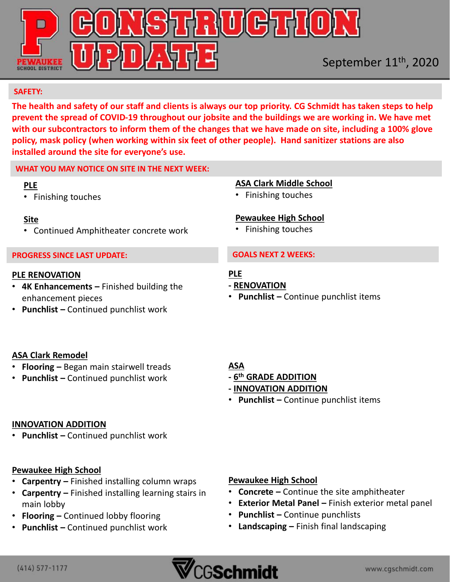

#### **SAFETY:**

**The health and safety of our staff and clients is always our top priority. CG Schmidt has taken steps to help prevent the spread of COVID-19 throughout our jobsite and the buildings we are working in. We have met with our subcontractors to inform them of the changes that we have made on site, including a 100% glove policy, mask policy (when working within six feet of other people). Hand sanitizer stations are also installed around the site for everyone's use.** 

## **WHAT YOU MAY NOTICE ON SITE IN THE NEXT WEEK:**

#### **PLE**

• Finishing touches

## **Site**

• Continued Amphitheater concrete work

## **PROGRESS SINCE LAST UPDATE:**

#### **PLE RENOVATION**

- **4K Enhancements –** Finished building the enhancement pieces
- **Punchlist –** Continued punchlist work

## **ASA Clark Middle School**

• Finishing touches

# **Pewaukee High School**

• Finishing touches

#### **GOALS NEXT 2 WEEKS:**

# **PLE**

- **- RENOVATION**
- **Punchlist –** Continue punchlist items

# **ASA Clark Remodel**

- **Flooring –** Began main stairwell treads
- **Punchlist –** Continued punchlist work

# **ASA**

- **- 6 th GRADE ADDITION**
- **- INNOVATION ADDITION**
- **Punchlist –** Continue punchlist items

## **INNOVATION ADDITION**

• **Punchlist –** Continued punchlist work

# **Pewaukee High School**

- **Carpentry –** Finished installing column wraps
- **Carpentry –** Finished installing learning stairs in main lobby
- **Flooring –** Continued lobby flooring
- **Punchlist –** Continued punchlist work

# **Pewaukee High School**

- **Concrete –** Continue the site amphitheater
- **Exterior Metal Panel –** Finish exterior metal panel
- **Punchlist –** Continue punchlists
- **Landscaping –** Finish final landscaping